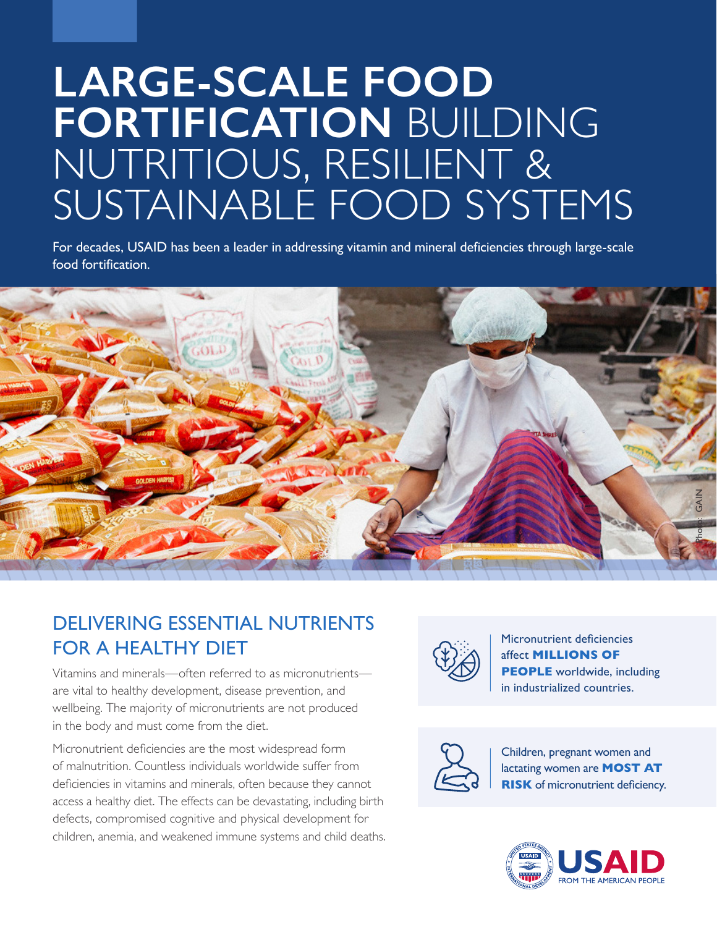# **LARGE-SCALE FOOD FORTIFICATION** BUILDING NUTRITIOUS, RESILIENT & SUSTAINABLE FOOD SYSTEMS

For decades, USAID has been a leader in addressing vitamin and mineral deficiencies through large-scale food fortification.



### DELIVERING ESSENTIAL NUTRIENTS FOR A HEALTHY DIET

Vitamins and minerals—often referred to as micronutrients are vital to healthy development, disease prevention, and wellbeing. The majority of micronutrients are not produced in the body and must come from the diet.

Micronutrient deficiencies are the most widespread form of malnutrition. Countless individuals worldwide suffer from deficiencies in vitamins and minerals, often because they cannot access a healthy diet. The effects can be devastating, including birth defects, compromised cognitive and physical development for children, anemia, and weakened immune systems and child deaths.



Micronutrient deficiencies affect **MILLIONS OF PEOPLE** worldwide, including in industrialized countries.



Children, pregnant women and lactating women are **MOST AT RISK** of micronutrient deficiency.